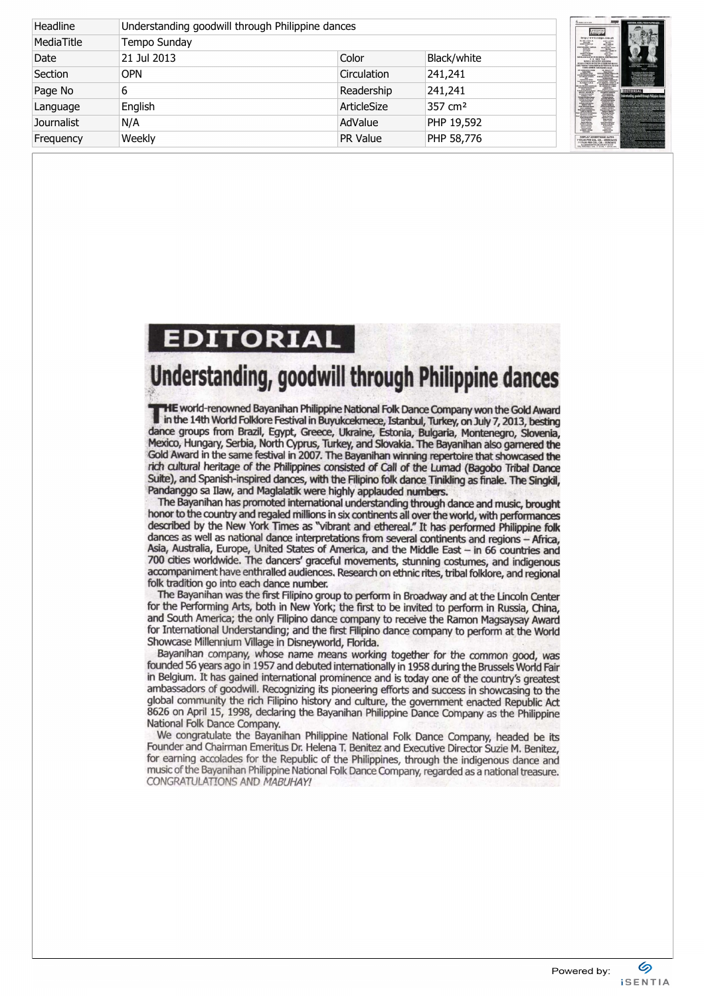| Headline          |              | Understanding goodwill through Philippine dances |                     |                                                                                                                                                                                                                                                                                                                                                                                                |
|-------------------|--------------|--------------------------------------------------|---------------------|------------------------------------------------------------------------------------------------------------------------------------------------------------------------------------------------------------------------------------------------------------------------------------------------------------------------------------------------------------------------------------------------|
| MediaTitle        | Tempo Sunday |                                                  |                     | Tempo<br>http://www.tempa.com.<br><b>MACHINERY</b><br>$\frac{\partial \mathbf{w} \cdot d\mathbf{b}}{\partial \mathbf{w} \cdot d\mathbf{w}}$<br><b>SETICI SOLUTION</b><br>TELL SETA<br>AND RELEASED<br><b>BEETS PUMP &amp; STATE</b>                                                                                                                                                            |
| Date              | 21 Jul 2013  | Color                                            | Black/white         | <b>P. O. BOX 789</b>                                                                                                                                                                                                                                                                                                                                                                           |
| Section           | <b>OPN</b>   | Circulation                                      | 241,241             | $\frac{L_{\text{H}}(x,y) - L_{\text{H}}(x,y)}{L_{\text{H}}(x,y) - L_{\text{H}}(x,y)}$<br>面面                                                                                                                                                                                                                                                                                                    |
| Page No           | 6            | Readership                                       | 241,241             | patient products<br><b>EDITORIA</b><br><b>Miliardo 4, Grandman Inc.</b><br>The Content of Content<br>Collection Series Series<br>Plants boxes<br>Alternative<br>Inderstanding, goodw                                                                                                                                                                                                           |
| Language          | English      | ArticleSize                                      | 357 cm <sup>2</sup> | <b>Scholar besty byens</b><br><b>ATTENDAD A CREW</b><br><b>Control Control</b><br><b>Millers Ball Bada Serrer</b><br><b>BELL BERGER</b><br><b>Area Caroly Issuedda to</b><br><b>EDITOR FREE</b> TH<br>mind is informed interesting<br>at firms him for<br><b>REPORTERS ARRESTS</b>                                                                                                             |
| <b>Journalist</b> | N/A          | AdValue                                          | PHP 19,592          | <b>Impoblycies</b><br><b>RENFOL &amp; BEW</b><br><b><i><u>Address Basic</u></i></b><br><b>Rege date from</b><br><b>The Second Corporation</b><br><b>MARY EXPER</b><br><b>Landa Salta jaar</b><br>hitat Boon About<br><b>STRING BAYER</b><br><b><i><u><i><u>DISLLM</u></i></u></i></b><br><b>Amic Autorian</b><br><b><i>RALNA</i></b><br>WHERE CARE<br><b>Jola Amerikanda</b><br>EMBERT L 4670N |
| Frequency         | Weekly       | <b>PR Value</b>                                  | PHP 58,776          |                                                                                                                                                                                                                                                                                                                                                                                                |

## EDITORIAL

## Understanding, goodwill through Philippine dances

**THE world-renowned Bayanihan Philippine National Folk Dance Company won the Gold Award** in the 14th World Folklore Festival in Buyukcekmece, Istanbul, Turkey, on July 7, 2013, besting (fence groups from Brazil, Egypt, Greece, Ukraine, Estonia, Bulgaria, Montenegro, Slovenia, Mexico, Hungary, Serbia, North Cyprus, Turkey, and Slovakia. The Bayanihan also garnered the Gold Award in the sane festival in 2007. The Bayanihan winning repertoire that showcased the rich cultural heritage of the Philippines consisted of Call of the Lumad (Bagobo Tribal Dance Suite), and Spanish-inspired dances, with the Filipino folk dance Tinikling as finale. The Singkil, Pandanggo sa Ilaw, and Maglalatik were highly applauded numbers.

The Bayanihan has promoted international understanding through dance and music, brought honor to the country and regaled millions in six oontinents all over the world, with performances described by the New York Times as "vibrant and ethereal." It has performed Philippine folk dances as well as national dance interpretations from several continents and regions - Africa, Asia, Australia, Europe, United States of America, and the Middle East - in 66 countries and 700 cities worldwide. The dancers' graceful movements, stunning costumes, and indigenous accompaniment have enthralled audiences. Research on ethnic rites, tribal folklore, and regional folk tradition go into each dance number.

The Bayanihan was the first Filipino group to perform in Broadway and at the Lincoln Center for the Performing Arts, both in New York; the first to be invited to perform in Russia, China, and South America; the only Filipino dance company to receive the Ramon Magsaysay Award for International Understanding; and the first Filipino dance company to perform at the World Showcase Millennium Village in Disneyworid, Florida.

Bayanihan company, whose name means working together for the common good, was founded 56 years ago in 1957 and debuted internationally in 1958 during the Brussels World Fair in Belgium. It has gained international prominence and is today one of the country's greatest ambassadors of goodwill. Recognizing its pioneering efforts and success in showcasing to the global community the rich Filipino history and culture, the government enacted Republic Act 8626 on April 15, 1998, declaring the Bayanihan Philippine Dance Company as the Philippine National Folk Dance Company.

We congratulate the Bayanihan Philippine National Folk Dance Company, headed be its Founder and Chairman Emeritus Dr. Helena T. Benitez and Executive Director Suzie M. Benitez, for earning accolades for the Republic of the Philippines, through the indigenous dance and music of the Bayanihan Philippine National Folk Dance Company, regarded as a national treasure. CONGRATULATIONS AND MABUHAY!